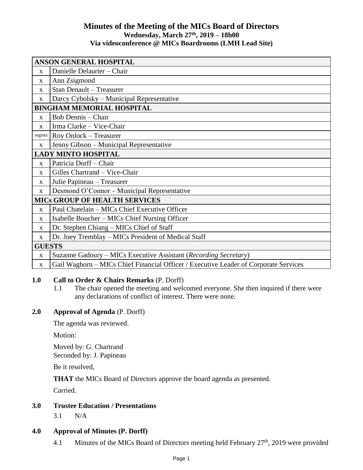# **Minutes of the Meeting of the MICs Board of Directors Wednesday, March 27 th , 2019 – 18h00 Via videoconference @ MICs Boardrooms (LMH Lead Site)**

| ANSON GENERAL HOSPITAL               |                                                                                      |
|--------------------------------------|--------------------------------------------------------------------------------------|
| $\mathbf{x}$                         | Danielle Delaurier - Chair                                                           |
| $\mathbf{x}$                         | Ann Zsigmond                                                                         |
| X                                    | <b>Stan Denault - Treasurer</b>                                                      |
| X                                    | Darcy Cybolsky – Municipal Representative                                            |
| <b>BINGHAM MEMORIAL HOSPITAL</b>     |                                                                                      |
| $\mathbf{X}$                         | <b>Bob Dennis - Chair</b>                                                            |
| $\mathbf{x}$                         | Irma Clarke - Vice-Chair                                                             |
| regrets                              | Roy Onlock - Treasurer                                                               |
| X                                    | Jenny Gibson - Municipal Representative                                              |
| <b>LADY MINTO HOSPITAL</b>           |                                                                                      |
| $\mathbf{X}$                         | Patricia Dorff - Chair                                                               |
| $\mathbf{x}$                         | Gilles Chartrand - Vice-Chair                                                        |
| X                                    | Julie Papineau - Treasurer                                                           |
| $\mathbf{X}$                         | Desmond O'Connor – Municipal Representative                                          |
| <b>MICS GROUP OF HEALTH SERVICES</b> |                                                                                      |
| X                                    | Paul Chatelain – MICs Chief Executive Officer                                        |
| $\mathbf{X}$                         | Isabelle Boucher – MICs Chief Nursing Officer                                        |
| $\mathbf{x}$                         | Dr. Stephen Chiang – MICs Chief of Staff                                             |
| $\mathbf{X}$                         | Dr. Joey Tremblay – MICs President of Medical Staff                                  |
| <b>GUESTS</b>                        |                                                                                      |
| $\mathbf X$                          | Suzanne Gadoury – MICs Executive Assistant (Recording Secretary)                     |
| $\mathbf{x}$                         | Gail Waghorn – MICs Chief Financial Officer / Executive Leader of Corporate Services |

## **1.0 Call to Order & Chairs Remarks** (P. Dorff)

1.1 The chair opened the meeting and welcomed everyone. She then inquired if there were any declarations of conflict of interest. There were none.

# **2.0 Approval of Agenda** (P. Dorff)

The agenda was reviewed.

Motion:

Moved by: G. Chartrand Seconded by: J. Papineau

Be it resolved,

**THAT** the MICs Board of Directors approve the board agenda as presented.

Carried.

# **3.0 Trustee Education / Presentations**

3.1 N/A

## **4.0 Approval of Minutes (P. Dorff)**

4.1 Minutes of the MICs Board of Directors meeting held February  $27<sup>th</sup>$ , 2019 were provided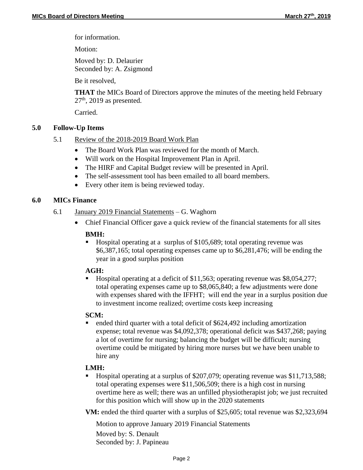for information.

Motion:

Moved by: D. Delaurier Seconded by: A. Zsigmond

Be it resolved,

**THAT** the MICs Board of Directors approve the minutes of the meeting held February  $27<sup>th</sup>$ , 2019 as presented.

Carried.

## **5.0 Follow-Up Items**

- 5.1 Review of the 2018-2019 Board Work Plan
	- The Board Work Plan was reviewed for the month of March.
	- Will work on the Hospital Improvement Plan in April.
	- The HIRF and Capital Budget review will be presented in April.
	- The self-assessment tool has been emailed to all board members.
	- Every other item is being reviewed today.

## **6.0 MICs Finance**

- 6.1 January 2019 Financial Statements G. Waghorn
	- Chief Financial Officer gave a quick review of the financial statements for all sites

#### **BMH:**

■ Hospital operating at a surplus of \$105,689; total operating revenue was \$6,387,165; total operating expenses came up to \$6,281,476; will be ending the year in a good surplus position

## **AGH:**

 Hospital operating at a deficit of \$11,563; operating revenue was \$8,054,277; total operating expenses came up to \$8,065,840; a few adjustments were done with expenses shared with the IFFHT; will end the year in a surplus position due to investment income realized; overtime costs keep increasing

#### **SCM:**

 ended third quarter with a total deficit of \$624,492 including amortization expense; total revenue was \$4,092,378; operational deficit was \$437,268; paying a lot of overtime for nursing; balancing the budget will be difficult; nursing overtime could be mitigated by hiring more nurses but we have been unable to hire any

## **LMH:**

 Hospital operating at a surplus of \$207,079; operating revenue was \$11,713,588; total operating expenses were \$11,506,509; there is a high cost in nursing overtime here as well; there was an unfilled physiotherapist job; we just recruited for this position which will show up in the 2020 statements

**VM:** ended the third quarter with a surplus of \$25,605; total revenue was \$2,323,694

Motion to approve January 2019 Financial Statements Moved by: S. Denault Seconded by: J. Papineau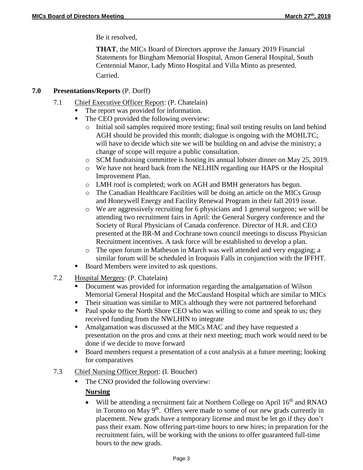Be it resolved,

**THAT**, the MICs Board of Directors approve the January 2019 Financial Statements for Bingham Memorial Hospital, Anson General Hospital, South Centennial Manor, Lady Minto Hospital and Villa Minto as presented. Carried.

#### **7.0 Presentations/Reports** (P. Dorff)

- 7.1 Chief Executive Officer Report: (P. Chatelain)
	- The report was provided for information.
	- The CEO provided the following overview:
		- o Initial soil samples required more testing; final soil testing results on land behind AGH should be provided this month; dialogue is ongoing with the MOHLTC; will have to decide which site we will be building on and advise the ministry; a change of scope will require a public consultation.
		- o SCM fundraising committee is hosting its annual lobster dinner on May 25, 2019.
		- o We have not heard back from the NELHIN regarding our HAPS or the Hospital Improvement Plan.
		- o LMH roof is completed; work on AGH and BMH generators has begun.
		- o The Canadian Healthcare Facilities will be doing an article on the MICs Group and Honeywell Energy and Facility Renewal Program in their fall 2019 issue.
		- o We are aggressively recruiting for 6 physicians and 1 general surgeon; we will be attending two recruitment fairs in April: the General Surgery conference and the Society of Rural Physicians of Canada conference. Director of H.R. and CEO presented at the BR-M and Cochrane town council meetings to discuss Physician Recruitment incentives. A task force will be established to develop a plan.
		- o The open forum in Matheson in March was well attended and very engaging; a similar forum will be scheduled in Iroquois Falls in conjunction with the IFFHT.
	- Board Members were invited to ask questions.
- 7.2 Hospital Mergers: (P. Chatelain)
	- Document was provided for information regarding the amalgamation of Wilson Memorial General Hospital and the McCausland Hospital which are similar to MICs
	- Their situation was similar to MICs although they were not partnered beforehand
	- Paul spoke to the North Shore CEO who was willing to come and speak to us; they received funding from the NWLHIN to integrate
	- Amalgamation was discussed at the MICs MAC and they have requested a presentation on the pros and cons at their next meeting; much work would need to be done if we decide to move forward
	- Board members request a presentation of a cost analysis at a future meeting; looking for comparatives
- 7.3 Chief Nursing Officer Report: (I. Boucher)
	- The CNO provided the following overview:

## **Nursing**

Will be attending a recruitment fair at Northern College on April  $16<sup>th</sup>$  and RNAO in Toronto on May  $9<sup>th</sup>$ . Offers were made to some of our new grads currently in placement. New grads have a temporary license and must be let go if they don't pass their exam. Now offering part-time hours to new hires; in preparation for the recruitment fairs, will be working with the unions to offer guaranteed full-time hours to the new grads.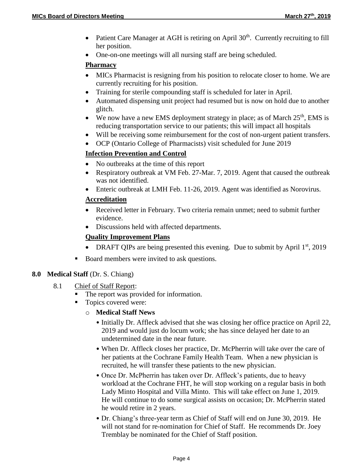- Patient Care Manager at AGH is retiring on April  $30<sup>th</sup>$ . Currently recruiting to fill her position.
- One-on-one meetings will all nursing staff are being scheduled.

#### **Pharmacy**

- MICs Pharmacist is resigning from his position to relocate closer to home. We are currently recruiting for his position.
- Training for sterile compounding staff is scheduled for later in April.
- Automated dispensing unit project had resumed but is now on hold due to another glitch.
- We now have a new EMS deployment strategy in place; as of March  $25<sup>th</sup>$ , EMS is reducing transportation service to our patients; this will impact all hospitals
- Will be receiving some reimbursement for the cost of non-urgent patient transfers.
- OCP (Ontario College of Pharmacists) visit scheduled for June 2019

# **Infection Prevention and Control**

- No outbreaks at the time of this report
- Respiratory outbreak at VM Feb. 27-Mar. 7, 2019. Agent that caused the outbreak was not identified.
- Enteric outbreak at LMH Feb. 11-26, 2019. Agent was identified as Norovirus.

# **Accreditation**

- Received letter in February. Two criteria remain unmet; need to submit further evidence.
- Discussions held with affected departments.

# **Quality Improvement Plans**

- DRAFT QIPs are being presented this evening. Due to submit by April  $1<sup>st</sup>$ , 2019
- Board members were invited to ask questions.

## **8.0 Medical Staff** (Dr. S. Chiang)

- 8.1 Chief of Staff Report:
	- The report was provided for information.
	- Topics covered were:
		- o **Medical Staff News**
			- Initially Dr. Affleck advised that she was closing her office practice on April 22, 2019 and would just do locum work; she has since delayed her date to an undetermined date in the near future.
			- When Dr. Affleck closes her practice, Dr. McPherrin will take over the care of her patients at the Cochrane Family Health Team. When a new physician is recruited, he will transfer these patients to the new physician.
			- Once Dr. McPherrin has taken over Dr. Affleck's patients, due to heavy workload at the Cochrane FHT, he will stop working on a regular basis in both Lady Minto Hospital and Villa Minto. This will take effect on June 1, 2019. He will continue to do some surgical assists on occasion; Dr. McPherrin stated he would retire in 2 years.
			- Dr. Chiang's three-year term as Chief of Staff will end on June 30, 2019. He will not stand for re-nomination for Chief of Staff. He recommends Dr. Joey Tremblay be nominated for the Chief of Staff position.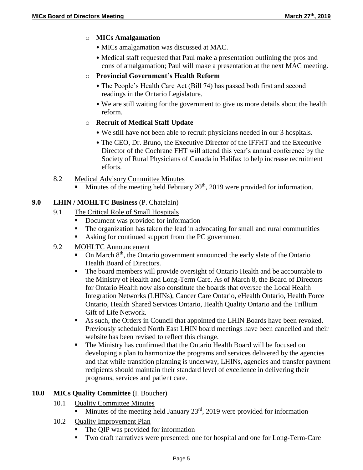#### o **MICs Amalgamation**

- MICs amalgamation was discussed at MAC.
- Medical staff requested that Paul make a presentation outlining the pros and cons of amalgamation; Paul will make a presentation at the next MAC meeting.

#### o **Provincial Government's Health Reform**

- The People's Health Care Act (Bill 74) has passed both first and second readings in the Ontario Legislature.
- We are still waiting for the government to give us more details about the health reform.

## o **Recruit of Medical Staff Update**

- We still have not been able to recruit physicians needed in our 3 hospitals.
- The CEO, Dr. Bruno, the Executive Director of the IFFHT and the Executive Director of the Cochrane FHT will attend this year's annual conference by the Society of Rural Physicians of Canada in Halifax to help increase recruitment efforts.
- 8.2 Medical Advisory Committee Minutes
	- Minutes of the meeting held February  $20<sup>th</sup>$ , 2019 were provided for information.

## **9.0 LHIN / MOHLTC Business** (P. Chatelain)

- 9.1 The Critical Role of Small Hospitals
	- Document was provided for information
	- The organization has taken the lead in advocating for small and rural communities
	- Asking for continued support from the PC government
- 9.2 MOHLTC Announcement
	- $\overline{\phantom{a}}$  On March 8<sup>th</sup>, the Ontario government announced the early slate of the Ontario Health Board of Directors.
	- The board members will provide oversight of Ontario Health and be accountable to the Ministry of Health and Long-Term Care. As of March 8, the Board of Directors for Ontario Health now also constitute the boards that oversee the Local Health Integration Networks (LHINs), Cancer Care Ontario, eHealth Ontario, Health Force Ontario, Health Shared Services Ontario, Health Quality Ontario and the Trillium Gift of Life Network.
	- As such, the Orders in Council that appointed the LHIN Boards have been revoked. Previously scheduled North East LHIN board meetings have been cancelled and their website has been revised to reflect this change.
	- The Ministry has confirmed that the Ontario Health Board will be focused on developing a plan to harmonize the programs and services delivered by the agencies and that while transition planning is underway, LHINs, agencies and transfer payment recipients should maintain their standard level of excellence in delivering their programs, services and patient care.

## **10.0 MICs Quality Committee** (I. Boucher)

- 10.1 **Quality Committee Minutes** 
	- Minutes of the meeting held January  $23<sup>rd</sup>$ , 2019 were provided for information
- 10.2 Quality Improvement Plan
	- The QIP was provided for information
	- Two draft narratives were presented: one for hospital and one for Long-Term-Care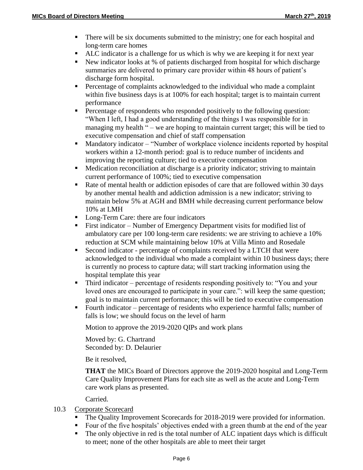- There will be six documents submitted to the ministry; one for each hospital and long-term care homes
- ALC indicator is a challenge for us which is why we are keeping it for next year
- New indicator looks at % of patients discharged from hospital for which discharge summaries are delivered to primary care provider within 48 hours of patient's discharge form hospital.
- **Percentage of complaints acknowledged to the individual who made a complaint** within five business days is at 100% for each hospital; target is to maintain current performance
- **Percentage of respondents who responded positively to the following question:** "When I left, I had a good understanding of the things I was responsible for in managing my health " – we are hoping to maintain current target; this will be tied to executive compensation and chief of staff compensation
- Mandatory indicator "Number of workplace violence incidents reported by hospital workers within a 12-month period: goal is to reduce number of incidents and improving the reporting culture; tied to executive compensation
- Medication reconciliation at discharge is a priority indicator; striving to maintain current performance of 100%; tied to executive compensation
- Rate of mental health or addiction episodes of care that are followed within 30 days by another mental health and addiction admission is a new indicator; striving to maintain below 5% at AGH and BMH while decreasing current performance below 10% at LMH
- Long-Term Care: there are four indicators
- First indicator Number of Emergency Department visits for modified list of ambulatory care per 100 long-term care residents: we are striving to achieve a 10% reduction at SCM while maintaining below 10% at Villa Minto and Rosedale
- Second indicator percentage of complaints received by a LTCH that were acknowledged to the individual who made a complaint within 10 business days; there is currently no process to capture data; will start tracking information using the hospital template this year
- Third indicator percentage of residents responding positively to: "You and your loved ones are encouraged to participate in your care.": will keep the same question; goal is to maintain current performance; this will be tied to executive compensation
- Fourth indicator percentage of residents who experience harmful falls; number of falls is low; we should focus on the level of harm

Motion to approve the 2019-2020 QIPs and work plans

Moved by: G. Chartrand Seconded by: D. Delaurier

Be it resolved,

**THAT** the MICs Board of Directors approve the 2019-2020 hospital and Long-Term Care Quality Improvement Plans for each site as well as the acute and Long-Term care work plans as presented.

Carried.

- 10.3 Corporate Scorecard
	- The Quality Improvement Scorecards for 2018-2019 were provided for information.
	- Four of the five hospitals' objectives ended with a green thumb at the end of the year
	- The only objective in red is the total number of ALC inpatient days which is difficult to meet; none of the other hospitals are able to meet their target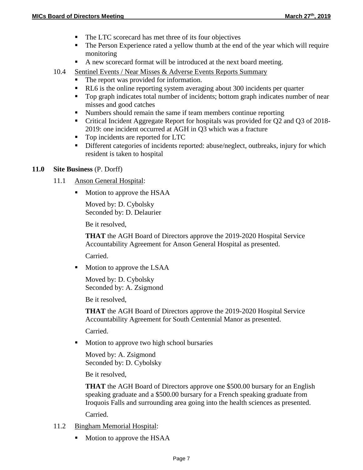- The LTC scorecard has met three of its four objectives
- The Person Experience rated a yellow thumb at the end of the year which will require monitoring
- A new scorecard format will be introduced at the next board meeting.
- 10.4 Sentinel Events / Near Misses & Adverse Events Reports Summary
	- The report was provided for information.
	- RL6 is the online reporting system averaging about 300 incidents per quarter
	- Top graph indicates total number of incidents; bottom graph indicates number of near misses and good catches
	- Numbers should remain the same if team members continue reporting
	- Critical Incident Aggregate Report for hospitals was provided for Q2 and Q3 of 2018- 2019: one incident occurred at AGH in Q3 which was a fracture
	- Top incidents are reported for LTC
	- Different categories of incidents reported: abuse/neglect, outbreaks, injury for which resident is taken to hospital

#### **11.0 Site Business** (P. Dorff)

- 11.1 Anson General Hospital:
	- Motion to approve the HSAA

Moved by: D. Cybolsky Seconded by: D. Delaurier

Be it resolved,

**THAT** the AGH Board of Directors approve the 2019-2020 Hospital Service Accountability Agreement for Anson General Hospital as presented.

Carried.

• Motion to approve the LSAA

Moved by: D. Cybolsky Seconded by: A. Zsigmond

Be it resolved,

**THAT** the AGH Board of Directors approve the 2019-2020 Hospital Service Accountability Agreement for South Centennial Manor as presented.

Carried.

• Motion to approve two high school bursaries

Moved by: A. Zsigmond Seconded by: D. Cybolsky

Be it resolved,

**THAT** the AGH Board of Directors approve one \$500.00 bursary for an English speaking graduate and a \$500.00 bursary for a French speaking graduate from Iroquois Falls and surrounding area going into the health sciences as presented. Carried.

- 11.2 Bingham Memorial Hospital:
	- Motion to approve the HSAA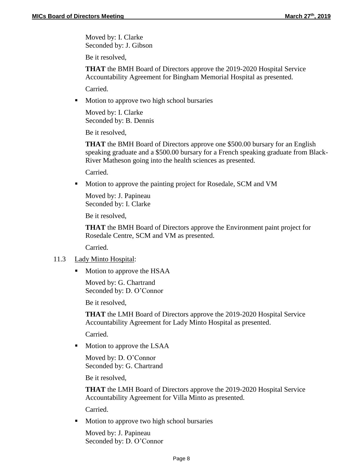Moved by: I. Clarke Seconded by: J. Gibson

Be it resolved,

**THAT** the BMH Board of Directors approve the 2019-2020 Hospital Service Accountability Agreement for Bingham Memorial Hospital as presented.

Carried.

• Motion to approve two high school bursaries

Moved by: I. Clarke Seconded by: B. Dennis

Be it resolved,

**THAT** the BMH Board of Directors approve one \$500.00 bursary for an English speaking graduate and a \$500.00 bursary for a French speaking graduate from Black-River Matheson going into the health sciences as presented.

Carried.

**Motion to approve the painting project for Rosedale, SCM and VM** 

Moved by: J. Papineau Seconded by: I. Clarke

Be it resolved,

**THAT** the BMH Board of Directors approve the Environment paint project for Rosedale Centre, SCM and VM as presented.

Carried.

#### 11.3 Lady Minto Hospital:

• Motion to approve the HSAA

Moved by: G. Chartrand Seconded by: D. O'Connor

Be it resolved,

**THAT** the LMH Board of Directors approve the 2019-2020 Hospital Service Accountability Agreement for Lady Minto Hospital as presented.

Carried.

• Motion to approve the LSAA

Moved by: D. O'Connor Seconded by: G. Chartrand

Be it resolved,

**THAT** the LMH Board of Directors approve the 2019-2020 Hospital Service Accountability Agreement for Villa Minto as presented.

Carried.

• Motion to approve two high school bursaries

Moved by: J. Papineau Seconded by: D. O'Connor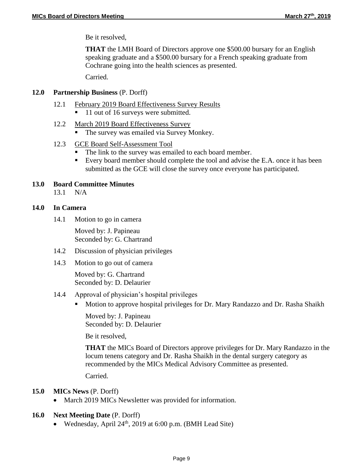Be it resolved,

**THAT** the LMH Board of Directors approve one \$500.00 bursary for an English speaking graduate and a \$500.00 bursary for a French speaking graduate from Cochrane going into the health sciences as presented.

Carried.

#### **12.0 Partnership Business** (P. Dorff)

- 12.1 February 2019 Board Effectiveness Survey Results
	- 11 out of 16 surveys were submitted.
- 12.2 March 2019 Board Effectiveness Survey
	- The survey was emailed via Survey Monkey.

#### 12.3 GCE Board Self-Assessment Tool

- The link to the survey was emailed to each board member.
- Every board member should complete the tool and advise the E.A. once it has been submitted as the GCE will close the survey once everyone has participated.

#### **13.0 Board Committee Minutes**

13.1 N/A

#### **14.0 In Camera**

14.1 Motion to go in camera

Moved by: J. Papineau Seconded by: G. Chartrand

- 14.2 Discussion of physician privileges
- 14.3 Motion to go out of camera

Moved by: G. Chartrand Seconded by: D. Delaurier

#### 14.4 Approval of physician's hospital privileges

**Motion to approve hospital privileges for Dr. Mary Randazzo and Dr. Rasha Shaikh** 

Moved by: J. Papineau Seconded by: D. Delaurier

Be it resolved,

**THAT** the MICs Board of Directors approve privileges for Dr. Mary Randazzo in the locum tenens category and Dr. Rasha Shaikh in the dental surgery category as recommended by the MICs Medical Advisory Committee as presented.

Carried.

#### **15.0 MICs News** (P. Dorff)

• March 2019 MICs Newsletter was provided for information.

#### **16.0 Next Meeting Date** (P. Dorff)

• Wednesday, April  $24<sup>th</sup>$ , 2019 at 6:00 p.m. (BMH Lead Site)